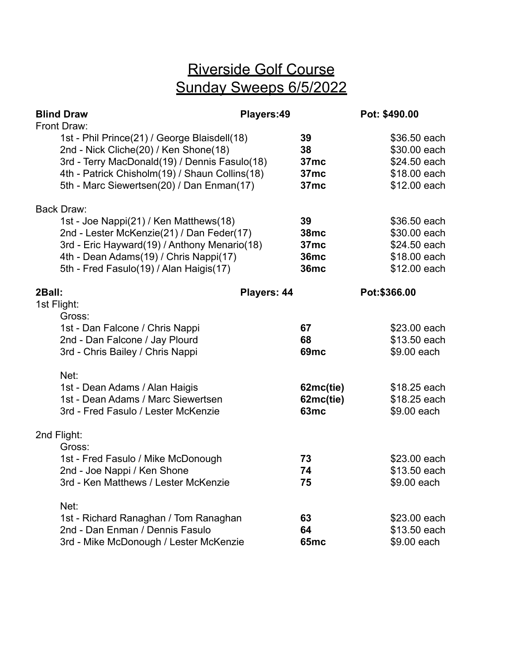## Riverside Golf Course Sunday Sweeps 6/5/2022

|             | <b>Blind Draw</b>                                                                                                                                                                                                                                    | Players:49  |                                                                       |               | Pot: \$490.00                                                                              |
|-------------|------------------------------------------------------------------------------------------------------------------------------------------------------------------------------------------------------------------------------------------------------|-------------|-----------------------------------------------------------------------|---------------|--------------------------------------------------------------------------------------------|
|             | Front Draw:<br>1st - Phil Prince(21) / George Blaisdell(18)<br>2nd - Nick Cliche(20) / Ken Shone(18)<br>3rd - Terry MacDonald(19) / Dennis Fasulo(18)<br>4th - Patrick Chisholm(19) / Shaun Collins(18)<br>5th - Marc Siewertsen(20) / Dan Enman(17) |             | 39<br>38<br>37mc<br>37mc<br>37mc                                      |               | \$36.50 each<br>\$30.00 each<br>\$24.50 each<br>\$18.00 each<br>\$12.00 each               |
|             | <b>Back Draw:</b><br>1st - Joe Nappi(21) / Ken Matthews(18)<br>2nd - Lester McKenzie(21) / Dan Feder(17)<br>3rd - Eric Hayward(19) / Anthony Menario(18)<br>4th - Dean Adams(19) / Chris Nappi(17)<br>5th - Fred Fasulo(19) / Alan Haigis(17)        |             | 39<br>38mc<br>37mc<br><b>36mc</b><br><b>36mc</b>                      |               | \$36.50 each<br>\$30.00 each<br>\$24.50 each<br>\$18.00 each<br>\$12.00 each               |
| 2Ball:      |                                                                                                                                                                                                                                                      | Players: 44 |                                                                       | Pot: \$366.00 |                                                                                            |
| 1st Flight: | Gross:<br>1st - Dan Falcone / Chris Nappi<br>2nd - Dan Falcone / Jay Plourd<br>3rd - Chris Bailey / Chris Nappi<br>Net:<br>1st - Dean Adams / Alan Haigis<br>1st - Dean Adams / Marc Siewertsen<br>3rd - Fred Fasulo / Lester McKenzie               |             | 67<br>68<br><b>69mc</b><br>62mc(tie)<br>62mc(tie)<br>63 <sub>mc</sub> |               | \$23.00 each<br>\$13.50 each<br>\$9.00 each<br>\$18.25 each<br>\$18.25 each<br>\$9.00 each |
|             | 2nd Flight:                                                                                                                                                                                                                                          |             |                                                                       |               |                                                                                            |
|             | Gross:<br>1st - Fred Fasulo / Mike McDonough<br>2nd - Joe Nappi / Ken Shone<br>3rd - Ken Matthews / Lester McKenzie                                                                                                                                  |             | 73<br>74<br>75                                                        |               | \$23.00 each<br>\$13.50 each<br>\$9.00 each                                                |
|             | Net:<br>1st - Richard Ranaghan / Tom Ranaghan<br>2nd - Dan Enman / Dennis Fasulo<br>3rd - Mike McDonough / Lester McKenzie                                                                                                                           |             | 63<br>64<br><b>65mc</b>                                               |               | \$23.00 each<br>\$13.50 each<br>\$9.00 each                                                |